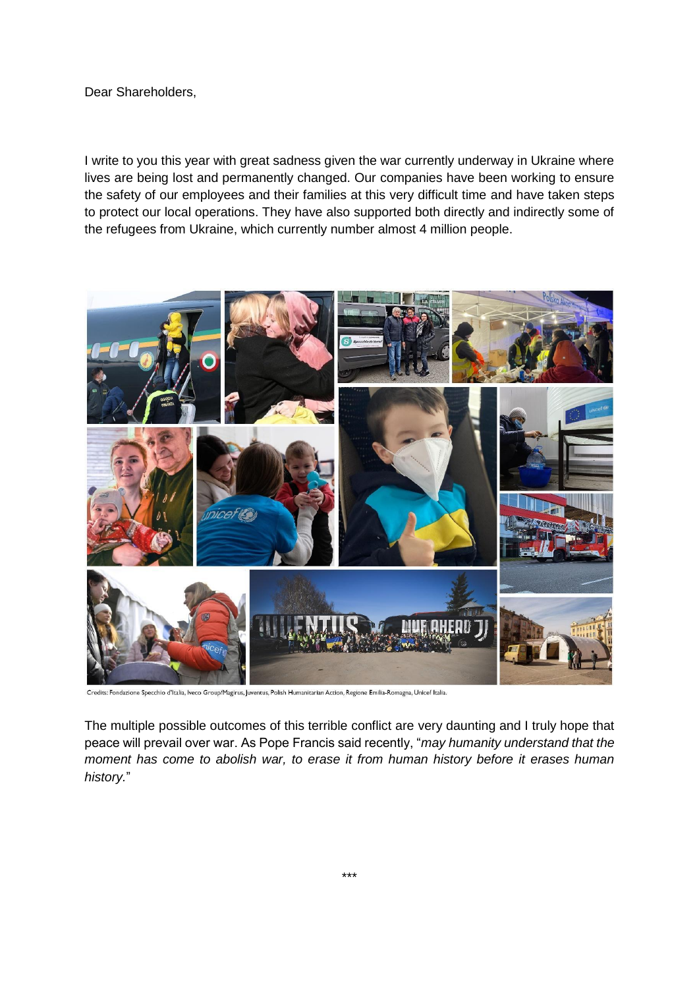Dear Shareholders,

I write to you this year with great sadness given the war currently underway in Ukraine where lives are being lost and permanently changed. Our companies have been working to ensure the safety of our employees and their families at this very difficult time and have taken steps to protect our local operations. They have also supported both directly and indirectly some of the refugees from Ukraine, which currently number almost 4 million people.



Credits: Fondazione Specchio d'Italia, Iveco Group/Magirus, Juventus, Polish Humanitarian Action, Regione Emilia-Romagna, Unicef Italia.

The multiple possible outcomes of this terrible conflict are very daunting and I truly hope that peace will prevail over war. As Pope Francis said recently, "*may humanity understand that the moment has come to abolish war, to erase it from human history before it erases human history.*"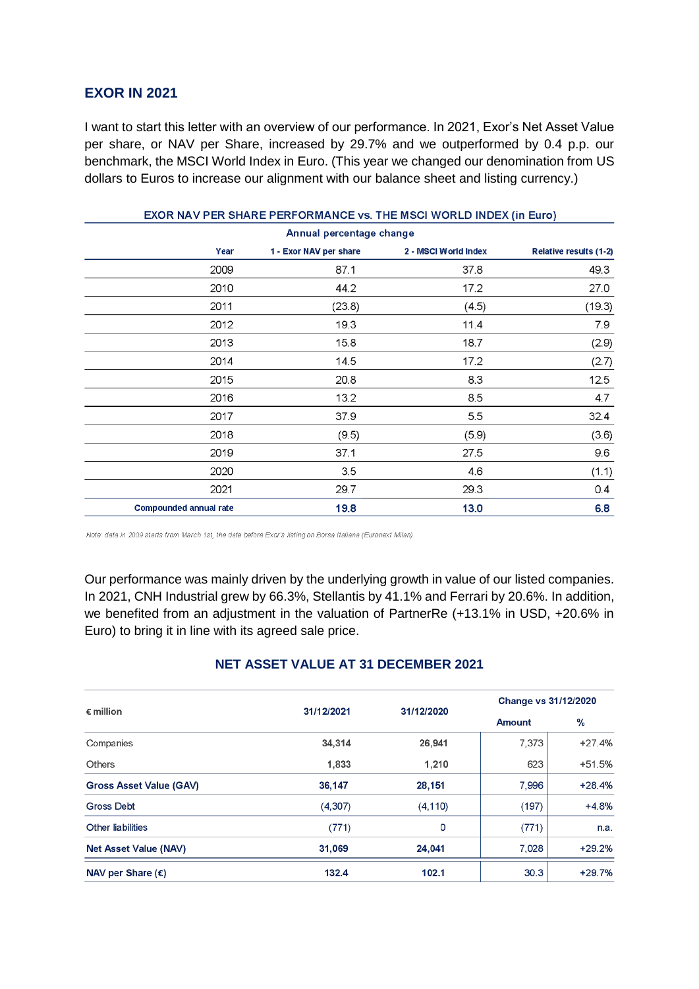# **EXOR IN 2021**

I want to start this letter with an overview of our performance. In 2021, Exor's Net Asset Value per share, or NAV per Share, increased by 29.7% and we outperformed by 0.4 p.p. our benchmark, the MSCI World Index in Euro. (This year we changed our denomination from US dollars to Euros to increase our alignment with our balance sheet and listing currency.)

| EXOR NAV PER SHARE PERFORMANCE vs. THE MSCI WORLD INDEX (in Euro) |                        |                      |                               |  |  |
|-------------------------------------------------------------------|------------------------|----------------------|-------------------------------|--|--|
| Annual percentage change                                          |                        |                      |                               |  |  |
| Year                                                              | 1 - Exor NAV per share | 2 - MSCI World Index | <b>Relative results (1-2)</b> |  |  |
| 2009                                                              | 87.1                   | 37.8                 | 49.3                          |  |  |
| 2010                                                              | 44.2                   | 17.2                 | 27.0                          |  |  |
| 2011                                                              | (23.8)                 | (4.5)                | (19.3)                        |  |  |
| 2012                                                              | 19.3                   | 11.4                 | 7.9                           |  |  |
| 2013                                                              | 15.8                   | 18.7                 | (2.9)                         |  |  |
| 2014                                                              | 14.5                   | 17.2                 | (2.7)                         |  |  |
| 2015                                                              | 20.8                   | 8.3                  | 12.5                          |  |  |
| 2016                                                              | 13.2                   | 8.5                  | 4.7                           |  |  |
| 2017                                                              | 37.9                   | 5.5                  | 32.4                          |  |  |
| 2018                                                              | (9.5)                  | (5.9)                | (3.6)                         |  |  |
| 2019                                                              | 37.1                   | 27.5                 | 9.6                           |  |  |
| 2020                                                              | 3.5                    | 4.6                  | (1.1)                         |  |  |
| 2021                                                              | 29.7                   | 29.3                 | 0.4                           |  |  |
| <b>Compounded annual rate</b>                                     | 19.8                   | 13.0                 | 6.8                           |  |  |

Note: data in 2009 starts from March 1st, the date before Exor's listing on Borsa Italiana (Euronext Milan).

Our performance was mainly driven by the underlying growth in value of our listed companies. In 2021, CNH Industrial grew by 66.3%, Stellantis by 41.1% and Ferrari by 20.6%. In addition, we benefited from an adjustment in the valuation of PartnerRe (+13.1% in USD, +20.6% in Euro) to bring it in line with its agreed sale price.

### **NET ASSET VALUE AT 31 DECEMBER 2021**

| $\epsilon$ million             | 31/12/2021 | 31/12/2020 | Change vs 31/12/2020 |          |
|--------------------------------|------------|------------|----------------------|----------|
|                                |            |            | <b>Amount</b>        | %        |
| Companies                      | 34,314     | 26,941     | 7,373                | $+27.4%$ |
| <b>Others</b>                  | 1,833      | 1,210      | 623                  | $+51.5%$ |
| <b>Gross Asset Value (GAV)</b> | 36,147     | 28,151     | 7.996                | $+28.4%$ |
| Gross Debt                     | (4,307)    | (4, 110)   | (197)                | $+4.8%$  |
| Other liabilities              | (771)      | $\circ$    | (771)                | n.a.     |
| Net Asset Value (NAV)          | 31,069     | 24,041     | 7,028                | $+29.2%$ |
| NAV per Share $(\epsilon)$     | 132.4      | 102.1      | 30.3                 | $+29.7%$ |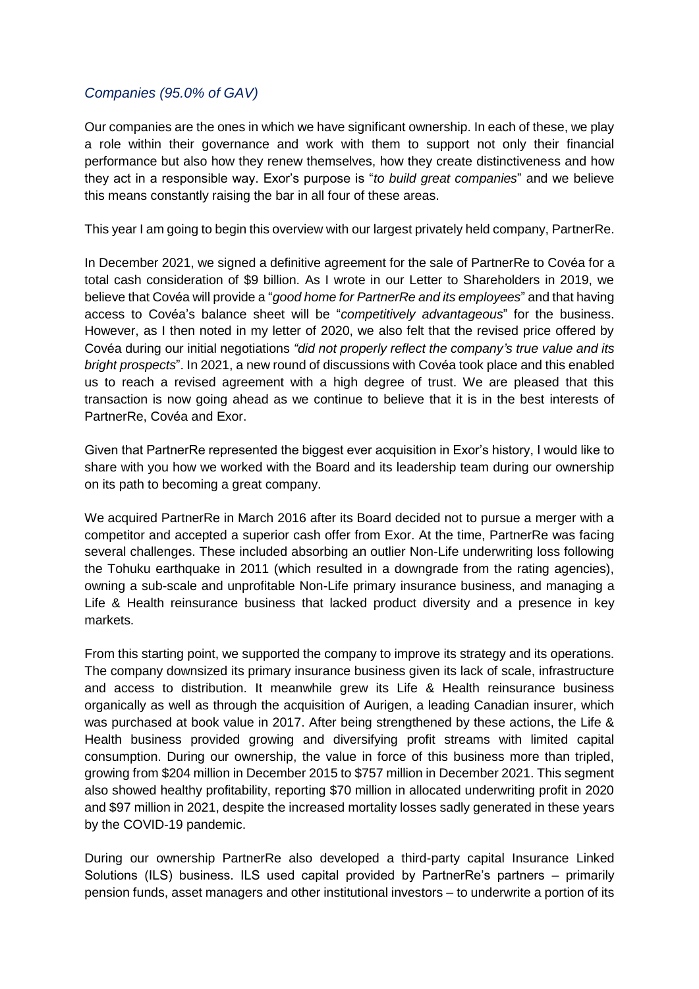# *Companies (95.0% of GAV)*

Our companies are the ones in which we have significant ownership. In each of these, we play a role within their governance and work with them to support not only their financial performance but also how they renew themselves, how they create distinctiveness and how they act in a responsible way. Exor's purpose is "*to build great companies*" and we believe this means constantly raising the bar in all four of these areas.

This year I am going to begin this overview with our largest privately held company, PartnerRe.

In December 2021, we signed a definitive agreement for the sale of PartnerRe to Covéa for a total cash consideration of \$9 billion. As I wrote in our Letter to Shareholders in 2019, we believe that Covéa will provide a "*good home for PartnerRe and its employees*" and that having access to Covéa's balance sheet will be "*competitively advantageous*" for the business. However, as I then noted in my letter of 2020, we also felt that the revised price offered by Covéa during our initial negotiations *"did not properly reflect the company's true value and its bright prospects*". In 2021, a new round of discussions with Covéa took place and this enabled us to reach a revised agreement with a high degree of trust. We are pleased that this transaction is now going ahead as we continue to believe that it is in the best interests of PartnerRe, Covéa and Exor.

Given that PartnerRe represented the biggest ever acquisition in Exor's history, I would like to share with you how we worked with the Board and its leadership team during our ownership on its path to becoming a great company.

We acquired PartnerRe in March 2016 after its Board decided not to pursue a merger with a competitor and accepted a superior cash offer from Exor. At the time, PartnerRe was facing several challenges. These included absorbing an outlier Non-Life underwriting loss following the Tohuku earthquake in 2011 (which resulted in a downgrade from the rating agencies), owning a sub-scale and unprofitable Non-Life primary insurance business, and managing a Life & Health reinsurance business that lacked product diversity and a presence in key markets.

From this starting point, we supported the company to improve its strategy and its operations. The company downsized its primary insurance business given its lack of scale, infrastructure and access to distribution. It meanwhile grew its Life & Health reinsurance business organically as well as through the acquisition of Aurigen, a leading Canadian insurer, which was purchased at book value in 2017. After being strengthened by these actions, the Life & Health business provided growing and diversifying profit streams with limited capital consumption. During our ownership, the value in force of this business more than tripled, growing from \$204 million in December 2015 to \$757 million in December 2021. This segment also showed healthy profitability, reporting \$70 million in allocated underwriting profit in 2020 and \$97 million in 2021, despite the increased mortality losses sadly generated in these years by the COVID-19 pandemic.

During our ownership PartnerRe also developed a third-party capital Insurance Linked Solutions (ILS) business. ILS used capital provided by PartnerRe's partners – primarily pension funds, asset managers and other institutional investors – to underwrite a portion of its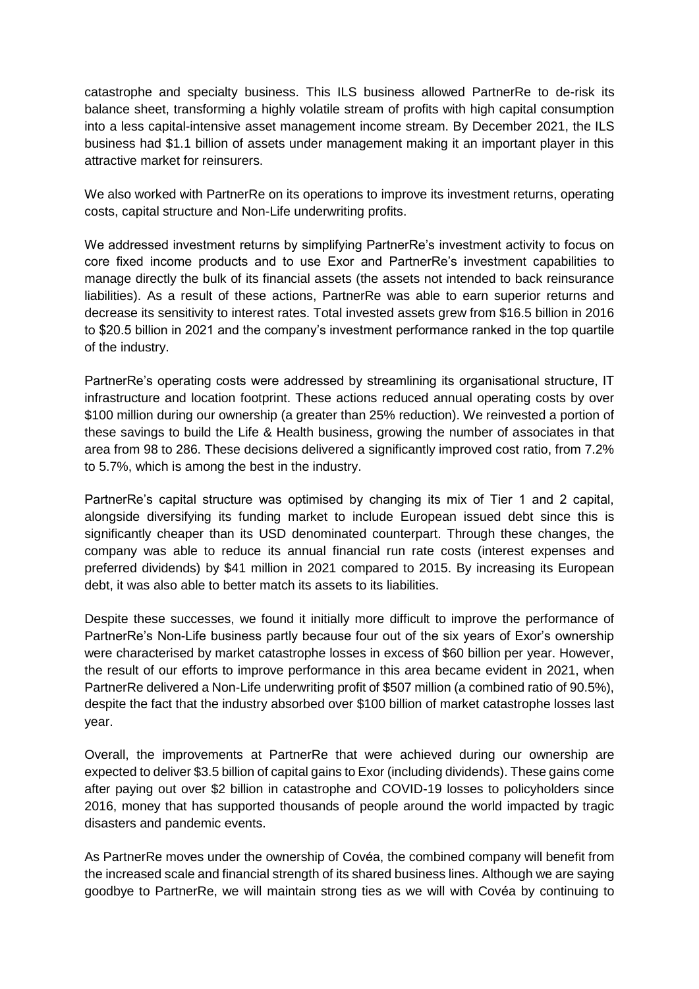catastrophe and specialty business. This ILS business allowed PartnerRe to de-risk its balance sheet, transforming a highly volatile stream of profits with high capital consumption into a less capital-intensive asset management income stream. By December 2021, the ILS business had \$1.1 billion of assets under management making it an important player in this attractive market for reinsurers.

We also worked with PartnerRe on its operations to improve its investment returns, operating costs, capital structure and Non-Life underwriting profits.

We addressed investment returns by simplifying PartnerRe's investment activity to focus on core fixed income products and to use Exor and PartnerRe's investment capabilities to manage directly the bulk of its financial assets (the assets not intended to back reinsurance liabilities). As a result of these actions, PartnerRe was able to earn superior returns and decrease its sensitivity to interest rates. Total invested assets grew from \$16.5 billion in 2016 to \$20.5 billion in 2021 and the company's investment performance ranked in the top quartile of the industry.

PartnerRe's operating costs were addressed by streamlining its organisational structure, IT infrastructure and location footprint. These actions reduced annual operating costs by over \$100 million during our ownership (a greater than 25% reduction). We reinvested a portion of these savings to build the Life & Health business, growing the number of associates in that area from 98 to 286. These decisions delivered a significantly improved cost ratio, from 7.2% to 5.7%, which is among the best in the industry.

PartnerRe's capital structure was optimised by changing its mix of Tier 1 and 2 capital, alongside diversifying its funding market to include European issued debt since this is significantly cheaper than its USD denominated counterpart. Through these changes, the company was able to reduce its annual financial run rate costs (interest expenses and preferred dividends) by \$41 million in 2021 compared to 2015. By increasing its European debt, it was also able to better match its assets to its liabilities.

Despite these successes, we found it initially more difficult to improve the performance of PartnerRe's Non-Life business partly because four out of the six years of Exor's ownership were characterised by market catastrophe losses in excess of \$60 billion per year. However, the result of our efforts to improve performance in this area became evident in 2021, when PartnerRe delivered a Non-Life underwriting profit of \$507 million (a combined ratio of 90.5%), despite the fact that the industry absorbed over \$100 billion of market catastrophe losses last year.

Overall, the improvements at PartnerRe that were achieved during our ownership are expected to deliver \$3.5 billion of capital gains to Exor (including dividends). These gains come after paying out over \$2 billion in catastrophe and COVID-19 losses to policyholders since 2016, money that has supported thousands of people around the world impacted by tragic disasters and pandemic events.

As PartnerRe moves under the ownership of Covéa, the combined company will benefit from the increased scale and financial strength of its shared business lines. Although we are saying goodbye to PartnerRe, we will maintain strong ties as we will with Covéa by continuing to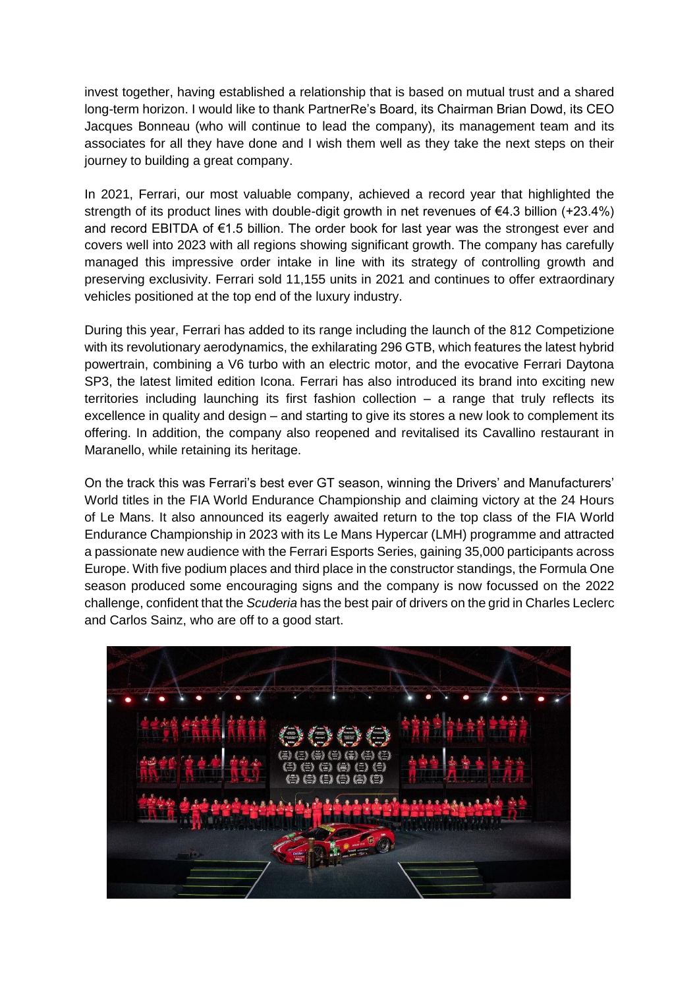invest together, having established a relationship that is based on mutual trust and a shared long-term horizon. I would like to thank PartnerRe's Board, its Chairman Brian Dowd, its CEO Jacques Bonneau (who will continue to lead the company), its management team and its associates for all they have done and I wish them well as they take the next steps on their journey to building a great company.

In 2021, Ferrari, our most valuable company, achieved a record year that highlighted the strength of its product lines with double-digit growth in net revenues of €4.3 billion (+23.4%) and record EBITDA of €1.5 billion. The order book for last year was the strongest ever and covers well into 2023 with all regions showing significant growth. The company has carefully managed this impressive order intake in line with its strategy of controlling growth and preserving exclusivity. Ferrari sold 11,155 units in 2021 and continues to offer extraordinary vehicles positioned at the top end of the luxury industry.

During this year, Ferrari has added to its range including the launch of the 812 Competizione with its revolutionary aerodynamics, the exhilarating 296 GTB, which features the latest hybrid powertrain, combining a V6 turbo with an electric motor, and the evocative Ferrari Daytona SP3, the latest limited edition Icona. Ferrari has also introduced its brand into exciting new territories including launching its first fashion collection – a range that truly reflects its excellence in quality and design – and starting to give its stores a new look to complement its offering. In addition, the company also reopened and revitalised its Cavallino restaurant in Maranello, while retaining its heritage.

On the track this was Ferrari's best ever GT season, winning the Drivers' and Manufacturers' World titles in the FIA World Endurance Championship and claiming victory at the 24 Hours of Le Mans. It also announced its eagerly awaited return to the top class of the FIA World Endurance Championship in 2023 with its Le Mans Hypercar (LMH) programme and attracted a passionate new audience with the Ferrari Esports Series, gaining 35,000 participants across Europe. With five podium places and third place in the constructor standings, the Formula One season produced some encouraging signs and the company is now focussed on the 2022 challenge, confident that the *Scuderia* has the best pair of drivers on the grid in Charles Leclerc and Carlos Sainz, who are off to a good start.

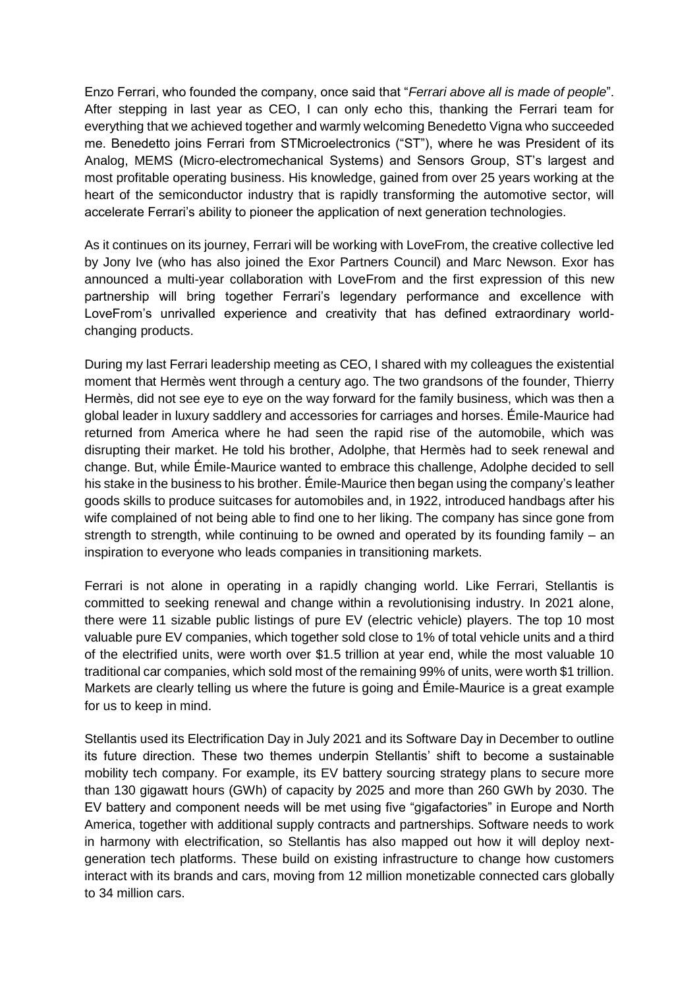Enzo Ferrari, who founded the company, once said that "*Ferrari above all is made of people*". After stepping in last year as CEO, I can only echo this, thanking the Ferrari team for everything that we achieved together and warmly welcoming Benedetto Vigna who succeeded me. Benedetto joins Ferrari from STMicroelectronics ("ST"), where he was President of its Analog, MEMS (Micro-electromechanical Systems) and Sensors Group, ST's largest and most profitable operating business. His knowledge, gained from over 25 years working at the heart of the semiconductor industry that is rapidly transforming the automotive sector, will accelerate Ferrari's ability to pioneer the application of next generation technologies.

As it continues on its journey, Ferrari will be working with LoveFrom, the creative collective led by Jony Ive (who has also joined the Exor Partners Council) and Marc Newson. Exor has announced a multi-year collaboration with LoveFrom and the first expression of this new partnership will bring together Ferrari's legendary performance and excellence with LoveFrom's unrivalled experience and creativity that has defined extraordinary worldchanging products.

During my last Ferrari leadership meeting as CEO, I shared with my colleagues the existential moment that Hermès went through a century ago. The two grandsons of the founder, Thierry Hermès, did not see eye to eye on the way forward for the family business, which was then a global leader in luxury saddlery and accessories for carriages and horses. Émile-Maurice had returned from America where he had seen the rapid rise of the automobile, which was disrupting their market. He told his brother, Adolphe, that Hermès had to seek renewal and change. But, while Émile-Maurice wanted to embrace this challenge, Adolphe decided to sell his stake in the business to his brother. Émile-Maurice then began using the company's leather goods skills to produce suitcases for automobiles and, in 1922, introduced handbags after his wife complained of not being able to find one to her liking. The company has since gone from strength to strength, while continuing to be owned and operated by its founding family – an inspiration to everyone who leads companies in transitioning markets.

Ferrari is not alone in operating in a rapidly changing world. Like Ferrari, Stellantis is committed to seeking renewal and change within a revolutionising industry. In 2021 alone, there were 11 sizable public listings of pure EV (electric vehicle) players. The top 10 most valuable pure EV companies, which together sold close to 1% of total vehicle units and a third of the electrified units, were worth over \$1.5 trillion at year end, while the most valuable 10 traditional car companies, which sold most of the remaining 99% of units, were worth \$1 trillion. Markets are clearly telling us where the future is going and Émile-Maurice is a great example for us to keep in mind.

Stellantis used its Electrification Day in July 2021 and its Software Day in December to outline its future direction. These two themes underpin Stellantis' shift to become a sustainable mobility tech company. For example, its EV battery sourcing strategy plans to secure more than 130 gigawatt hours (GWh) of capacity by 2025 and more than 260 GWh by 2030. The EV battery and component needs will be met using five "gigafactories" in Europe and North America, together with additional supply contracts and partnerships. Software needs to work in harmony with electrification, so Stellantis has also mapped out how it will deploy nextgeneration tech platforms. These build on existing infrastructure to change how customers interact with its brands and cars, moving from 12 million monetizable connected cars globally to 34 million cars.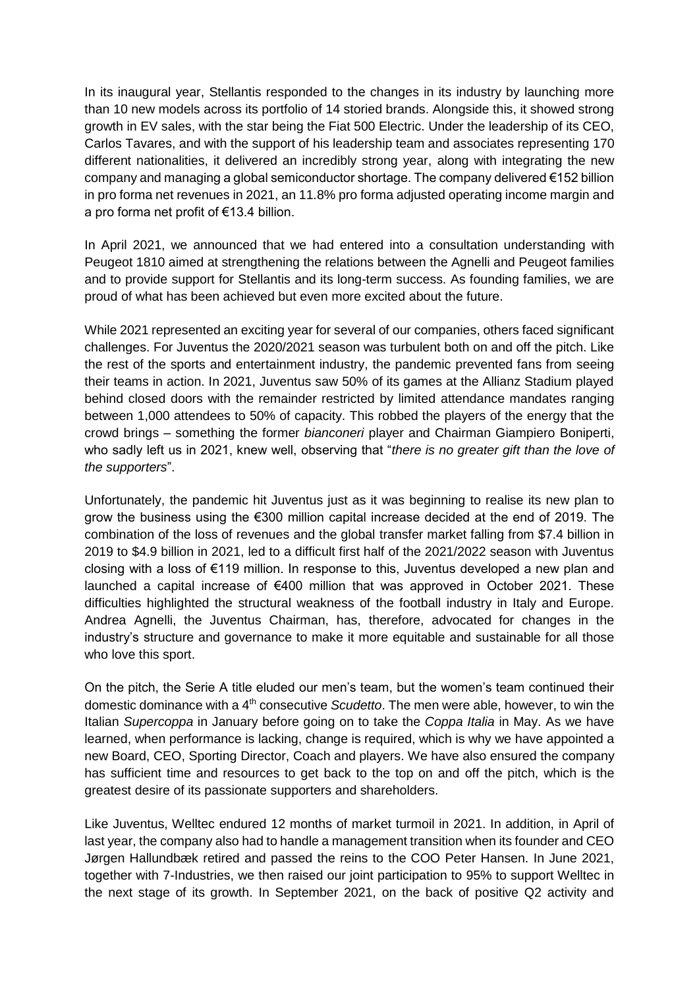In its inaugural year, Stellantis responded to the changes in its industry by launching more than 10 new models across its portfolio of 14 storied brands. Alongside this, it showed strong growth in EV sales, with the star being the Fiat 500 Electric. Under the leadership of its CEO, Carlos Tavares, and with the support of his leadership team and associates representing 170 different nationalities, it delivered an incredibly strong year, along with integrating the new company and managing a global semiconductor shortage. The company delivered  $\epsilon$ 152 billion in pro forma net revenues in 2021, an 11.8% pro forma adjusted operating income margin and a pro forma net profit of €13.4 billion.

In April 2021, we announced that we had entered into a consultation understanding with Peugeot 1810 aimed at strengthening the relations between the Agnelli and Peugeot families and to provide support for Stellantis and its long-term success. As founding families, we are proud of what has been achieved but even more excited about the future.

While 2021 represented an exciting year for several of our companies, others faced significant challenges. For Juventus the 2020/2021 season was turbulent both on and off the pitch. Like the rest of the sports and entertainment industry, the pandemic prevented fans from seeing their teams in action. In 2021, Juventus saw 50% of its games at the Allianz Stadium played behind closed doors with the remainder restricted by limited attendance mandates ranging between 1,000 attendees to 50% of capacity. This robbed the players of the energy that the crowd brings – something the former *bianconeri* player and Chairman Giampiero Boniperti, who sadly left us in 2021, knew well, observing that "*there is no greater gift than the love of the supporters*".

Unfortunately, the pandemic hit Juventus just as it was beginning to realise its new plan to grow the business using the €300 million capital increase decided at the end of 2019. The combination of the loss of revenues and the global transfer market falling from \$7.4 billion in 2019 to \$4.9 billion in 2021, led to a difficult first half of the 2021/2022 season with Juventus closing with a loss of €119 million. In response to this, Juventus developed a new plan and launched a capital increase of  $\epsilon$ 400 million that was approved in October 2021. These difficulties highlighted the structural weakness of the football industry in Italy and Europe. Andrea Agnelli, the Juventus Chairman, has, therefore, advocated for changes in the industry's structure and governance to make it more equitable and sustainable for all those who love this sport.

On the pitch, the Serie A title eluded our men's team, but the women's team continued their domestic dominance with a 4th consecutive *Scudetto*. The men were able, however, to win the Italian *Supercoppa* in January before going on to take the *Coppa Italia* in May. As we have learned, when performance is lacking, change is required, which is why we have appointed a new Board, CEO, Sporting Director, Coach and players. We have also ensured the company has sufficient time and resources to get back to the top on and off the pitch, which is the greatest desire of its passionate supporters and shareholders.

Like Juventus, Welltec endured 12 months of market turmoil in 2021. In addition, in April of last year, the company also had to handle a management transition when its founder and CEO Jørgen Hallundbæk retired and passed the reins to the COO Peter Hansen. In June 2021, together with 7-Industries, we then raised our joint participation to 95% to support Welltec in the next stage of its growth. In September 2021, on the back of positive Q2 activity and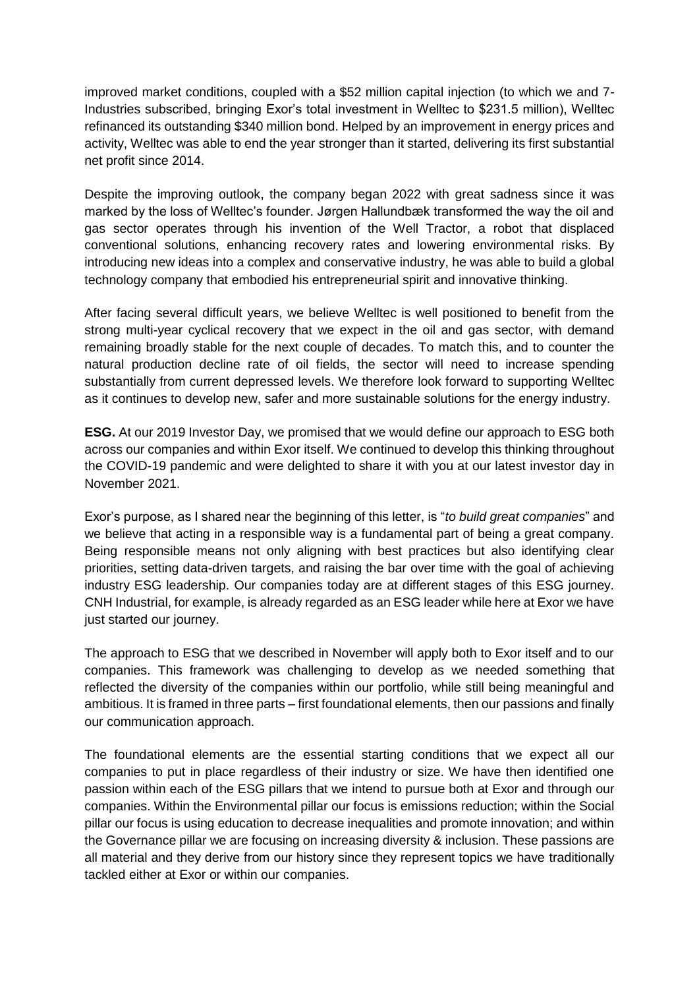improved market conditions, coupled with a \$52 million capital injection (to which we and 7- Industries subscribed, bringing Exor's total investment in Welltec to \$231.5 million), Welltec refinanced its outstanding \$340 million bond. Helped by an improvement in energy prices and activity, Welltec was able to end the year stronger than it started, delivering its first substantial net profit since 2014.

Despite the improving outlook, the company began 2022 with great sadness since it was marked by the loss of Welltec's founder. Jørgen Hallundbæk transformed the way the oil and gas sector operates through his invention of the Well Tractor, a robot that displaced conventional solutions, enhancing recovery rates and lowering environmental risks. By introducing new ideas into a complex and conservative industry, he was able to build a global technology company that embodied his entrepreneurial spirit and innovative thinking.

After facing several difficult years, we believe Welltec is well positioned to benefit from the strong multi-year cyclical recovery that we expect in the oil and gas sector, with demand remaining broadly stable for the next couple of decades. To match this, and to counter the natural production decline rate of oil fields, the sector will need to increase spending substantially from current depressed levels. We therefore look forward to supporting Welltec as it continues to develop new, safer and more sustainable solutions for the energy industry.

**ESG.** At our 2019 Investor Day, we promised that we would define our approach to ESG both across our companies and within Exor itself. We continued to develop this thinking throughout the COVID-19 pandemic and were delighted to share it with you at our latest investor day in November 2021.

Exor's purpose, as I shared near the beginning of this letter, is "*to build great companies*" and we believe that acting in a responsible way is a fundamental part of being a great company. Being responsible means not only aligning with best practices but also identifying clear priorities, setting data-driven targets, and raising the bar over time with the goal of achieving industry ESG leadership. Our companies today are at different stages of this ESG journey. CNH Industrial, for example, is already regarded as an ESG leader while here at Exor we have just started our journey.

The approach to ESG that we described in November will apply both to Exor itself and to our companies. This framework was challenging to develop as we needed something that reflected the diversity of the companies within our portfolio, while still being meaningful and ambitious. It is framed in three parts – first foundational elements, then our passions and finally our communication approach.

The foundational elements are the essential starting conditions that we expect all our companies to put in place regardless of their industry or size. We have then identified one passion within each of the ESG pillars that we intend to pursue both at Exor and through our companies. Within the Environmental pillar our focus is emissions reduction; within the Social pillar our focus is using education to decrease inequalities and promote innovation; and within the Governance pillar we are focusing on increasing diversity & inclusion. These passions are all material and they derive from our history since they represent topics we have traditionally tackled either at Exor or within our companies.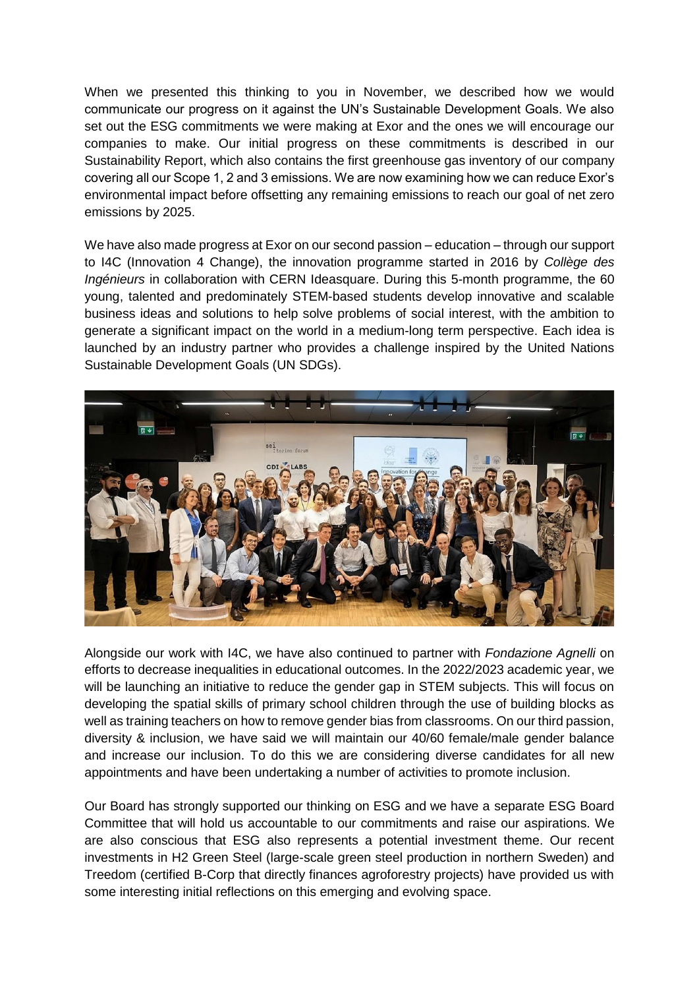When we presented this thinking to you in November, we described how we would communicate our progress on it against the UN's Sustainable Development Goals. We also set out the ESG commitments we were making at Exor and the ones we will encourage our companies to make. Our initial progress on these commitments is described in our Sustainability Report, which also contains the first greenhouse gas inventory of our company covering all our Scope 1, 2 and 3 emissions. We are now examining how we can reduce Exor's environmental impact before offsetting any remaining emissions to reach our goal of net zero emissions by 2025.

We have also made progress at Exor on our second passion – education – through our support to I4C (Innovation 4 Change), the innovation programme started in 2016 by *Collège des Ingénieurs* in collaboration with CERN Ideasquare. During this 5-month programme, the 60 young, talented and predominately STEM-based students develop innovative and scalable business ideas and solutions to help solve problems of social interest, with the ambition to generate a significant impact on the world in a medium-long term perspective. Each idea is launched by an industry partner who provides a challenge inspired by the United Nations Sustainable Development Goals (UN SDGs).



Alongside our work with I4C, we have also continued to partner with *Fondazione Agnelli* on efforts to decrease inequalities in educational outcomes. In the 2022/2023 academic year, we will be launching an initiative to reduce the gender gap in STEM subjects. This will focus on developing the spatial skills of primary school children through the use of building blocks as well as training teachers on how to remove gender bias from classrooms. On our third passion, diversity & inclusion, we have said we will maintain our 40/60 female/male gender balance and increase our inclusion. To do this we are considering diverse candidates for all new appointments and have been undertaking a number of activities to promote inclusion.

Our Board has strongly supported our thinking on ESG and we have a separate ESG Board Committee that will hold us accountable to our commitments and raise our aspirations. We are also conscious that ESG also represents a potential investment theme. Our recent investments in H2 Green Steel (large-scale green steel production in northern Sweden) and Treedom (certified B-Corp that directly finances agroforestry projects) have provided us with some interesting initial reflections on this emerging and evolving space.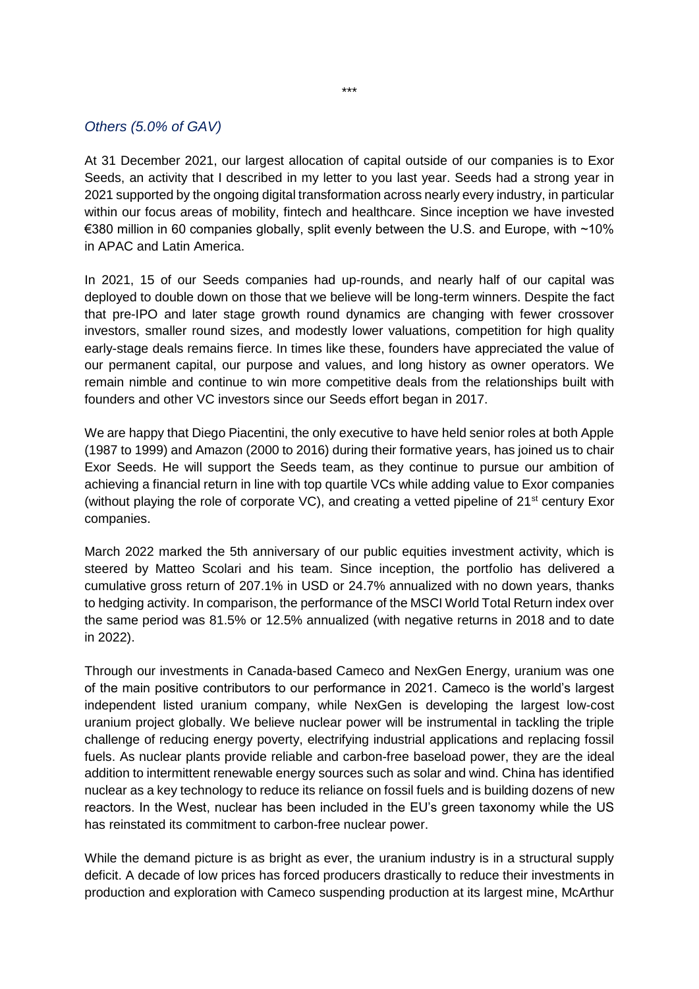# *Others (5.0% of GAV)*

At 31 December 2021, our largest allocation of capital outside of our companies is to Exor Seeds, an activity that I described in my letter to you last year. Seeds had a strong year in 2021 supported by the ongoing digital transformation across nearly every industry, in particular within our focus areas of mobility, fintech and healthcare. Since inception we have invested €380 million in 60 companies globally, split evenly between the U.S. and Europe, with ~10% in APAC and Latin America.

In 2021, 15 of our Seeds companies had up-rounds, and nearly half of our capital was deployed to double down on those that we believe will be long-term winners. Despite the fact that pre-IPO and later stage growth round dynamics are changing with fewer crossover investors, smaller round sizes, and modestly lower valuations, competition for high quality early-stage deals remains fierce. In times like these, founders have appreciated the value of our permanent capital, our purpose and values, and long history as owner operators. We remain nimble and continue to win more competitive deals from the relationships built with founders and other VC investors since our Seeds effort began in 2017.

We are happy that Diego Piacentini, the only executive to have held senior roles at both Apple (1987 to 1999) and Amazon (2000 to 2016) during their formative years, has joined us to chair Exor Seeds. He will support the Seeds team, as they continue to pursue our ambition of achieving a financial return in line with top quartile VCs while adding value to Exor companies (without playing the role of corporate VC), and creating a vetted pipeline of  $21<sup>st</sup>$  century Exor companies.

March 2022 marked the 5th anniversary of our public equities investment activity, which is steered by Matteo Scolari and his team. Since inception, the portfolio has delivered a cumulative gross return of 207.1% in USD or 24.7% annualized with no down years, thanks to hedging activity. In comparison, the performance of the MSCI World Total Return index over the same period was 81.5% or 12.5% annualized (with negative returns in 2018 and to date in 2022).

Through our investments in Canada-based Cameco and NexGen Energy, uranium was one of the main positive contributors to our performance in 2021. Cameco is the world's largest independent listed uranium company, while NexGen is developing the largest low-cost uranium project globally. We believe nuclear power will be instrumental in tackling the triple challenge of reducing energy poverty, electrifying industrial applications and replacing fossil fuels. As nuclear plants provide reliable and carbon-free baseload power, they are the ideal addition to intermittent renewable energy sources such as solar and wind. China has identified nuclear as a key technology to reduce its reliance on fossil fuels and is building dozens of new reactors. In the West, nuclear has been included in the EU's green taxonomy while the US has reinstated its commitment to carbon-free nuclear power.

While the demand picture is as bright as ever, the uranium industry is in a structural supply deficit. A decade of low prices has forced producers drastically to reduce their investments in production and exploration with Cameco suspending production at its largest mine, McArthur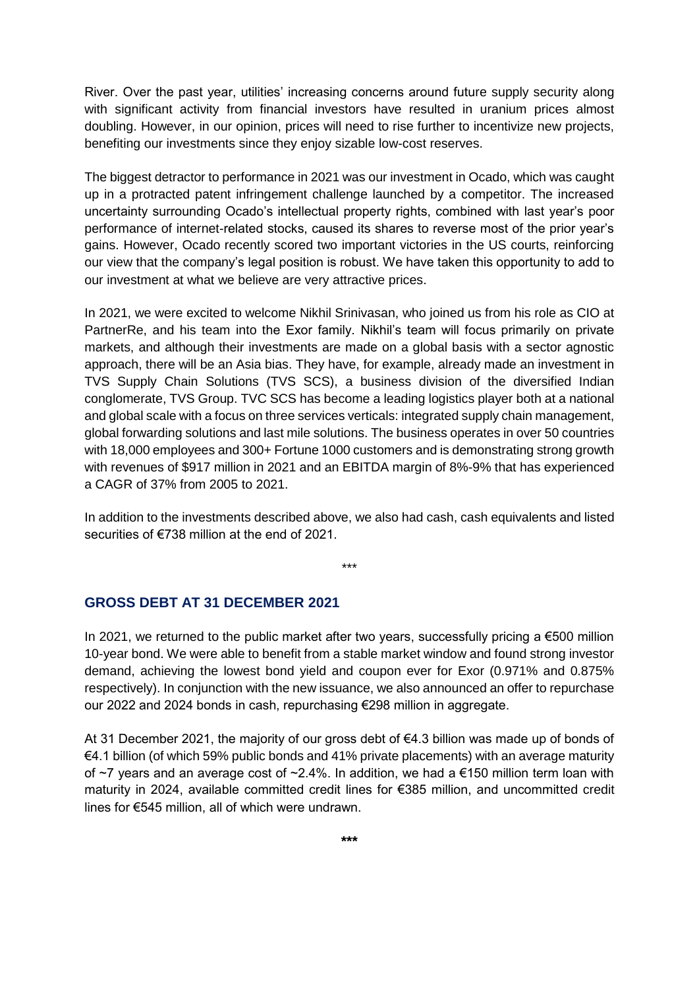River. Over the past year, utilities' increasing concerns around future supply security along with significant activity from financial investors have resulted in uranium prices almost doubling. However, in our opinion, prices will need to rise further to incentivize new projects, benefiting our investments since they enjoy sizable low-cost reserves.

The biggest detractor to performance in 2021 was our investment in Ocado, which was caught up in a protracted patent infringement challenge launched by a competitor. The increased uncertainty surrounding Ocado's intellectual property rights, combined with last year's poor performance of internet-related stocks, caused its shares to reverse most of the prior year's gains. However, Ocado recently scored two important victories in the US courts, reinforcing our view that the company's legal position is robust. We have taken this opportunity to add to our investment at what we believe are very attractive prices.

In 2021, we were excited to welcome Nikhil Srinivasan, who joined us from his role as CIO at PartnerRe, and his team into the Exor family. Nikhil's team will focus primarily on private markets, and although their investments are made on a global basis with a sector agnostic approach, there will be an Asia bias. They have, for example, already made an investment in TVS Supply Chain Solutions (TVS SCS), a business division of the diversified Indian conglomerate, TVS Group. TVC SCS has become a leading logistics player both at a national and global scale with a focus on three services verticals: integrated supply chain management, global forwarding solutions and last mile solutions. The business operates in over 50 countries with 18,000 employees and 300+ Fortune 1000 customers and is demonstrating strong growth with revenues of \$917 million in 2021 and an EBITDA margin of 8%-9% that has experienced a CAGR of 37% from 2005 to 2021.

In addition to the investments described above, we also had cash, cash equivalents and listed securities of €738 million at the end of 2021.

\*\*\*

#### **GROSS DEBT AT 31 DECEMBER 2021**

In 2021, we returned to the public market after two years, successfully pricing a €500 million 10-year bond. We were able to benefit from a stable market window and found strong investor demand, achieving the lowest bond yield and coupon ever for Exor (0.971% and 0.875% respectively). In conjunction with the new issuance, we also announced an offer to repurchase our 2022 and 2024 bonds in cash, repurchasing €298 million in aggregate.

At 31 December 2021, the majority of our gross debt of €4.3 billion was made up of bonds of €4.1 billion (of which 59% public bonds and 41% private placements) with an average maturity of  $\sim$ 7 years and an average cost of  $\sim$ 2.4%. In addition, we had a €150 million term loan with maturity in 2024, available committed credit lines for €385 million, and uncommitted credit lines for €545 million, all of which were undrawn.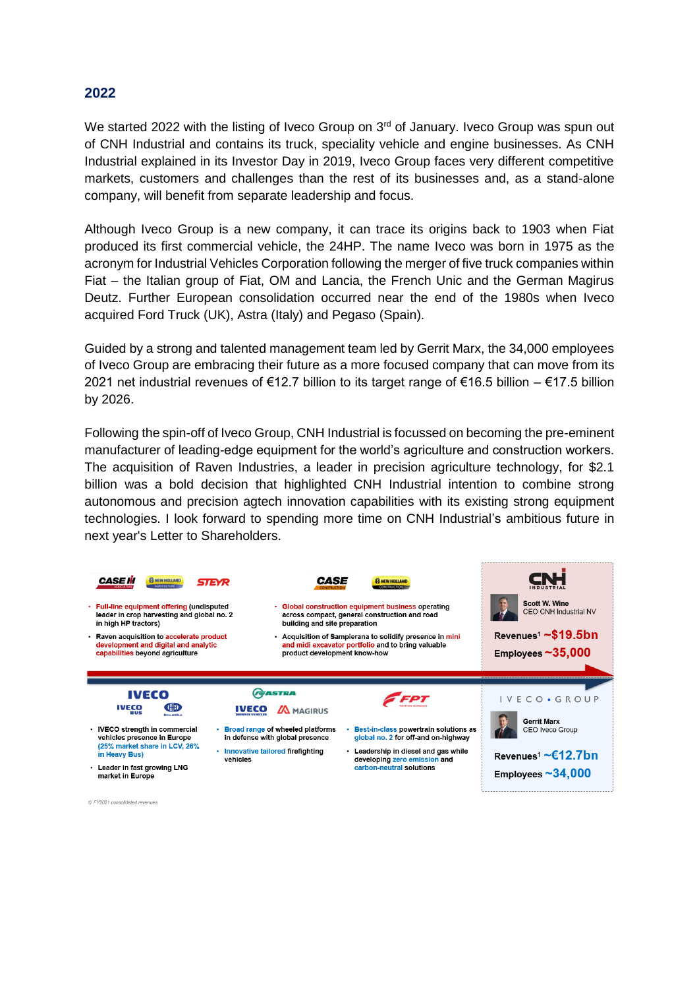### **2022**

We started 2022 with the listing of Iveco Group on 3<sup>rd</sup> of January. Iveco Group was spun out of CNH Industrial and contains its truck, speciality vehicle and engine businesses. As CNH Industrial explained in its Investor Day in 2019, Iveco Group faces very different competitive markets, customers and challenges than the rest of its businesses and, as a stand-alone company, will benefit from separate leadership and focus.

Although Iveco Group is a new company, it can trace its origins back to 1903 when Fiat produced its first commercial vehicle, the 24HP. The name Iveco was born in 1975 as the acronym for Industrial Vehicles Corporation following the merger of five truck companies within Fiat – the Italian group of Fiat, OM and Lancia, the French Unic and the German Magirus Deutz. Further European consolidation occurred near the end of the 1980s when Iveco acquired Ford Truck (UK), Astra (Italy) and Pegaso (Spain).

Guided by a strong and talented management team led by Gerrit Marx, the 34,000 employees of Iveco Group are embracing their future as a more focused company that can move from its 2021 net industrial revenues of €12.7 billion to its target range of €16.5 billion – €17.5 billion by 2026.

Following the spin-off of Iveco Group, CNH Industrial is focussed on becoming the pre-eminent manufacturer of leading-edge equipment for the world's agriculture and construction workers. The acquisition of Raven Industries, a leader in precision agriculture technology, for \$2.1 billion was a bold decision that highlighted CNH Industrial intention to combine strong autonomous and precision agtech innovation capabilities with its existing strong equipment technologies. I look forward to spending more time on CNH Industrial's ambitious future in next year's Letter to Shareholders.